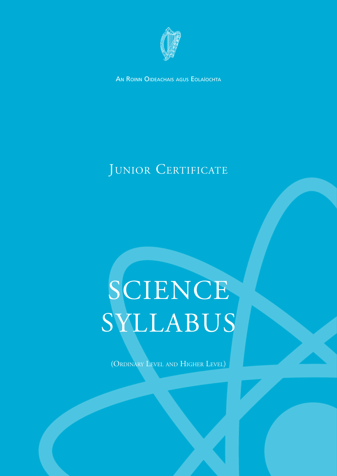

An Roinn Oideachais agus Eolaíochta

# JUNIOR CERTIFICATE

# SCIENCE SYLLABUS

(Ordinary Level and Higher Level)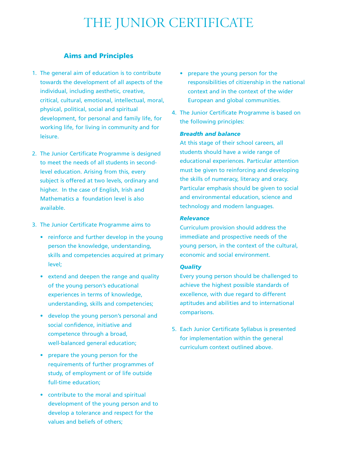# THE JUNIOR CERTIFICATE

#### Aims and Principles

- 1. The general aim of education is to contribute towards the development of all aspects of the individual, including aesthetic, creative, critical, cultural, emotional, intellectual, moral, physical, political, social and spiritual development, for personal and family life, for working life, for living in community and for leisure.
- 2. The Junior Certificate Programme is designed to meet the needs of all students in secondlevel education. Arising from this, every subject is offered at two levels, ordinary and higher. In the case of English, Irish and Mathematics a foundation level is also available.
- 3. The Junior Certificate Programme aims to
	- reinforce and further develop in the young person the knowledge, understanding, skills and competencies acquired at primary level;
	- extend and deepen the range and quality of the young person's educational experiences in terms of knowledge, understanding, skills and competencies;
	- • develop the young person's personal and social confidence, initiative and competence through a broad, well-balanced general education;
	- prepare the young person for the requirements of further programmes of study, of employment or of life outside full-time education;
	- • contribute to the moral and spiritual development of the young person and to develop a tolerance and respect for the values and beliefs of others;
- prepare the young person for the responsibilities of citizenship in the national context and in the context of the wider European and global communities.
- 4. The Junior Certificate Programme is based on the following principles:

#### *Breadth and balance*

At this stage of their school careers, all students should have a wide range of educational experiences. Particular attention must be given to reinforcing and developing the skills of numeracy, literacy and oracy. Particular emphasis should be given to social and environmental education, science and technology and modern languages.

#### *Relevance*

Curriculum provision should address the immediate and prospective needs of the young person, in the context of the cultural, economic and social environment.

#### *Quality*

Every young person should be challenged to achieve the highest possible standards of excellence, with due regard to different aptitudes and abilities and to international comparisons.

5. Each Junior Certificate Syllabus is presented for implementation within the general curriculum context outlined above.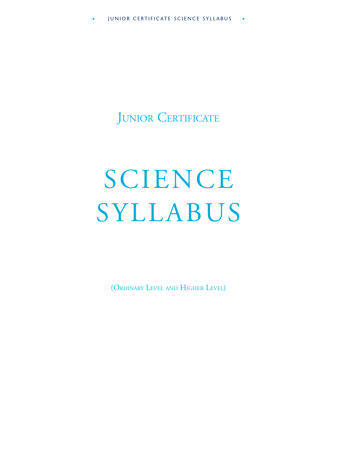**JUNIOR CERTIFICATE** 

# SCIENCE SYLLABUS

(ORDINARY LEVEL AND HIGHER LEVEL)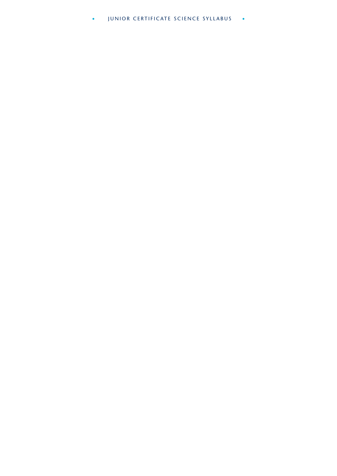#### JUNIOR CERTIFICATE SCIENCE SYLLABUS .  $\bullet$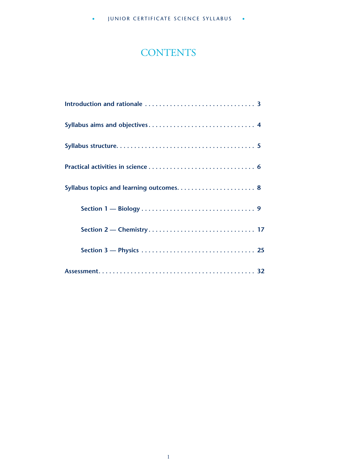## **CONTENTS**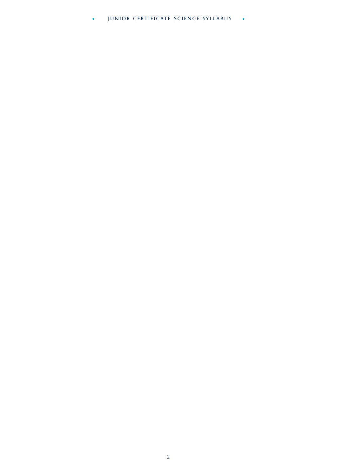#### JUNIOR CERTIFICATE SCIENCE SYLLABUS .  $\bullet$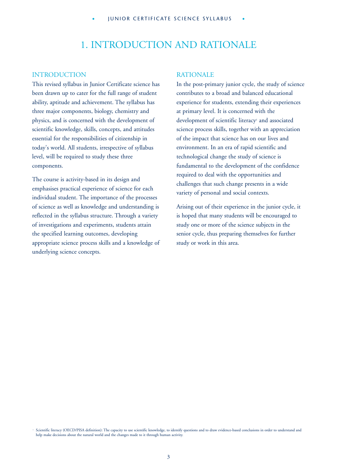## 1. Introduction and rationale

#### **INTRODUCTION**

This revised syllabus in Junior Certificate science has been drawn up to cater for the full range of student ability, aptitude and achievement. The syllabus has three major components, biology, chemistry and physics, and is concerned with the development of scientific knowledge, skills, concepts, and attitudes essential for the responsibilities of citizenship in today's world. All students, irrespective of syllabus level, will be required to study these three components.

The course is activity-based in its design and emphasises practical experience of science for each individual student. The importance of the processes of science as well as knowledge and understanding is reflected in the syllabus structure. Through a variety of investigations and experiments, students attain the specified learning outcomes, developing appropriate science process skills and a knowledge of underlying science concepts.

#### **RATIONALE**

In the post-primary junior cycle, the study of science contributes to a broad and balanced educational experience for students, extending their experiences at primary level. It is concerned with the development of scientific literacy<sup>1</sup> and associated science process skills, together with an appreciation of the impact that science has on our lives and environment. In an era of rapid scientific and technological change the study of science is fundamental to the development of the confidence required to deal with the opportunities and challenges that such change presents in a wide variety of personal and social contexts.

Arising out of their experience in the junior cycle, it is hoped that many students will be encouraged to study one or more of the science subjects in the senior cycle, thus preparing themselves for further study or work in this area.

Scientific literacy (OECD/PISA definition): The capacity to use scientific knowledge, to identify questions and to draw evidence-based conclusions in order to understand and help make decisions about the natural world and the changes made to it through human activity.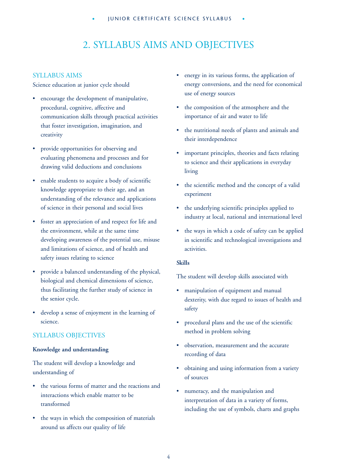# 2. Syllabus aims and objectives

#### Syllabus Aims

Science education at junior cycle should

- encourage the development of manipulative, procedural, cognitive, affective and communication skills through practical activities that foster investigation, imagination, and creativity
- provide opportunities for observing and evaluating phenomena and processes and for drawing valid deductions and conclusions
- • enable students to acquire a body of scientific knowledge appropriate to their age, and an understanding of the relevance and applications of science in their personal and social lives
- foster an appreciation of and respect for life and the environment, while at the same time developing awareness of the potential use, misuse and limitations of science, and of health and safety issues relating to science
- • provide a balanced understanding of the physical, biological and chemical dimensions of science, thus facilitating the further study of science in the senior cycle.
- develop a sense of enjoyment in the learning of science.

#### Syllabus Objectives

#### **Knowledge and understanding**

The student will develop a knowledge and understanding of

- the various forms of matter and the reactions and interactions which enable matter to be transformed
- the ways in which the composition of materials around us affects our quality of life
- energy in its various forms, the application of energy conversions, and the need for economical use of energy sources
- • the composition of the atmosphere and the importance of air and water to life
- • the nutritional needs of plants and animals and their interdependence
- • important principles, theories and facts relating to science and their applications in everyday living
- the scientific method and the concept of a valid experiment
- • the underlying scientific principles applied to industry at local, national and international level
- the ways in which a code of safety can be applied in scientific and technological investigations and activities.

#### **Skills**

The student will develop skills associated with

- • manipulation of equipment and manual dexterity, with due regard to issues of health and safety
- • procedural plans and the use of the scientific method in problem solving
- • observation, measurement and the accurate recording of data
- obtaining and using information from a variety of sources
- • numeracy, and the manipulation and interpretation of data in a variety of forms, including the use of symbols, charts and graphs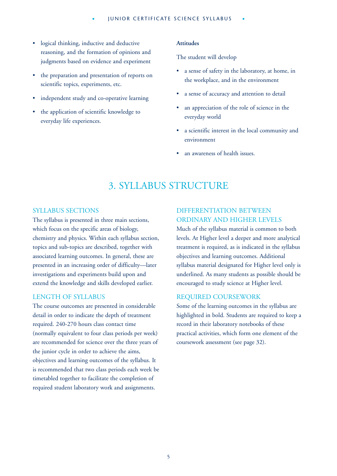- • logical thinking, inductive and deductive reasoning, and the formation of opinions and judgments based on evidence and experiment
- the preparation and presentation of reports on scientific topics, experiments, etc.
- independent study and co-operative learning
- the application of scientific knowledge to everyday life experiences.

#### **Attitudes**

The student will develop

- a sense of safety in the laboratory, at home, in the workplace, and in the environment
- a sense of accuracy and attention to detail
- an appreciation of the role of science in the everyday world
- • a scientific interest in the local community and environment
- an awareness of health issues.

## 3. Syllabus structure

#### Syllabus sections

The syllabus is presented in three main sections, which focus on the specific areas of biology, chemistry and physics. Within each syllabus section, topics and sub-topics are described, together with associated learning outcomes. In general, these are presented in an increasing order of difficulty—later investigations and experiments build upon and extend the knowledge and skills developed earlier.

#### Length of syllabus

The course outcomes are presented in considerable detail in order to indicate the depth of treatment required. 240-270 hours class contact time (normally equivalent to four class periods per week) are recommended for science over the three years of the junior cycle in order to achieve the aims, objectives and learning outcomes of the syllabus. It is recommended that two class periods each week be timetabled together to facilitate the completion of required student laboratory work and assignments.

### Differentiation between Ordinary and Higher levels

Much of the syllabus material is common to both levels. At Higher level a deeper and more analytical treatment is required, as is indicated in the syllabus objectives and learning outcomes. Additional syllabus material designated for Higher level only is underlined. As many students as possible should be encouraged to study science at Higher level.

#### REQUIRED COURSEWORK

Some of the learning outcomes in the syllabus are highlighted in bold. Students are required to keep a record in their laboratory notebooks of these practical activities, which form one element of the coursework assessment (see page 32).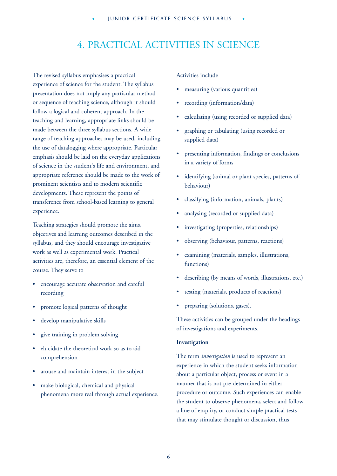## 4. Practical activities in science

The revised syllabus emphasises a practical experience of science for the student. The syllabus presentation does not imply any particular method or sequence of teaching science, although it should follow a logical and coherent approach. In the teaching and learning, appropriate links should be made between the three syllabus sections. A wide range of teaching approaches may be used, including the use of datalogging where appropriate. Particular emphasis should be laid on the everyday applications of science in the student's life and environment, and appropriate reference should be made to the work of prominent scientists and to modern scientific developments. These represent the points of transference from school-based learning to general experience.

Teaching strategies should promote the aims, objectives and learning outcomes described in the syllabus, and they should encourage investigative work as well as experimental work. Practical activities are, therefore, an essential element of the course. They serve to

- encourage accurate observation and careful recording
- promote logical patterns of thought
- develop manipulative skills
- give training in problem solving
- elucidate the theoretical work so as to aid comprehension
- arouse and maintain interest in the subject
- make biological, chemical and physical phenomena more real through actual experience.

Activities include

- measuring (various quantities)
- recording (information/data)
- calculating (using recorded or supplied data)
- • graphing or tabulating (using recorded or supplied data)
- presenting information, findings or conclusions in a variety of forms
- • identifying (animal or plant species, patterns of behaviour)
- classifying (information, animals, plants)
- analysing (recorded or supplied data)
- investigating (properties, relationships)
- observing (behaviour, patterns, reactions)
- examining (materials, samples, illustrations, functions)
- describing (by means of words, illustrations, etc.)
- testing (materials, products of reactions)
- preparing (solutions, gases).

These activities can be grouped under the headings of investigations and experiments.

#### **Investigation**

The term *investigation* is used to represent an experience in which the student seeks information about a particular object, process or event in a manner that is not pre-determined in either procedure or outcome. Such experiences can enable the student to observe phenomena, select and follow a line of enquiry, or conduct simple practical tests that may stimulate thought or discussion, thus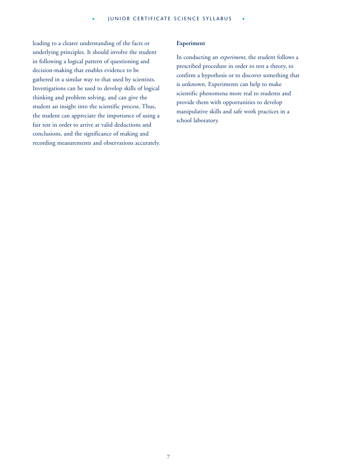leading to a clearer understanding of the facts or underlying principles. It should involve the student in following a logical pattern of questioning and decision-making that enables evidence to be gathered in a similar way to that used by scientists. Investigations can be used to develop skills of logical thinking and problem solving, and can give the student an insight into the scientific process. Thus, the student can appreciate the importance of using a fair test in order to arrive at valid deductions and conclusions, and the significance of making and recording measurements and observations accurately.

#### **Experiment**

In conducting an *experiment,* the student follows a prescribed procedure in order to test a theory, to confirm a hypothesis or to discover something that is unknown. Experiments can help to make scientific phenomena more real to students and provide them with opportunities to develop manipulative skills and safe work practices in a school laboratory.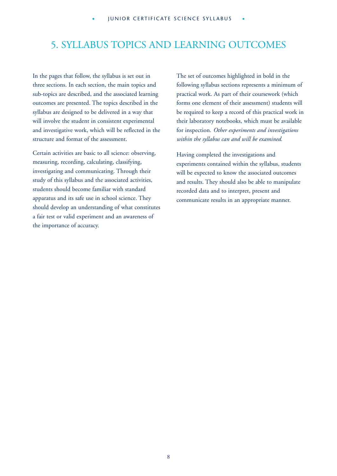## 5. Syllabus topics and learning outcomes

In the pages that follow, the syllabus is set out in three sections. In each section, the main topics and sub-topics are described, and the associated learning outcomes are presented. The topics described in the syllabus are designed to be delivered in a way that will involve the student in consistent experimental and investigative work, which will be reflected in the structure and format of the assessment.

Certain activities are basic to all science: observing, measuring, recording, calculating, classifying, investigating and communicating. Through their study of this syllabus and the associated activities, students should become familiar with standard apparatus and its safe use in school science. They should develop an understanding of what constitutes a fair test or valid experiment and an awareness of the importance of accuracy.

The set of outcomes highlighted in bold in the following syllabus sections represents a minimum of practical work. As part of their coursework (which forms one element of their assessment) students will be required to keep a record of this practical work in their laboratory notebooks, which must be available for inspection. *Other experiments and investigations within the syllabus can and will be examined.*

Having completed the investigations and experiments contained within the syllabus, students will be expected to know the associated outcomes and results. They should also be able to manipulate recorded data and to interpret, present and communicate results in an appropriate manner.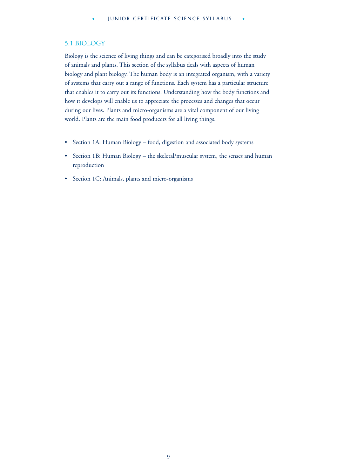#### 5.1 Biology

Biology is the science of living things and can be categorised broadly into the study of animals and plants. This section of the syllabus deals with aspects of human biology and plant biology. The human body is an integrated organism, with a variety of systems that carry out a range of functions. Each system has a particular structure that enables it to carry out its functions. Understanding how the body functions and how it develops will enable us to appreciate the processes and changes that occur during our lives. Plants and micro-organisms are a vital component of our living world. Plants are the main food producers for all living things.

- Section 1A: Human Biology food, digestion and associated body systems
- Section 1B: Human Biology the skeletal/muscular system, the senses and human reproduction
- • Section 1C: Animals, plants and micro-organisms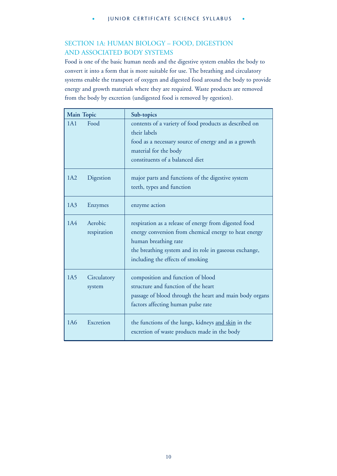#### Section 1A: Human Biology – food, digestion and associated body systems

Food is one of the basic human needs and the digestive system enables the body to convert it into a form that is more suitable for use. The breathing and circulatory systems enable the transport of oxygen and digested food around the body to provide energy and growth materials where they are required. Waste products are removed from the body by excretion (undigested food is removed by egestion).

| <b>Main Topic</b>             | Sub-topics                                                                                                                                                                                                                           |
|-------------------------------|--------------------------------------------------------------------------------------------------------------------------------------------------------------------------------------------------------------------------------------|
| Food<br>1A1                   | contents of a variety of food products as described on<br>their labels<br>food as a necessary source of energy and as a growth<br>material for the body<br>constituents of a balanced diet                                           |
| 1A2<br>Digestion              | major parts and functions of the digestive system<br>teeth, types and function                                                                                                                                                       |
| 1A3<br>Enzymes                | enzyme action                                                                                                                                                                                                                        |
| Aerobic<br>1A4<br>respiration | respiration as a release of energy from digested food<br>energy conversion from chemical energy to heat energy<br>human breathing rate<br>the breathing system and its role in gaseous exchange,<br>including the effects of smoking |
| 1A5<br>Circulatory<br>system  | composition and function of blood<br>structure and function of the heart<br>passage of blood through the heart and main body organs<br>factors affecting human pulse rate                                                            |
| Excretion<br>1A6              | the functions of the lungs, kidneys and skin in the<br>excretion of waste products made in the body                                                                                                                                  |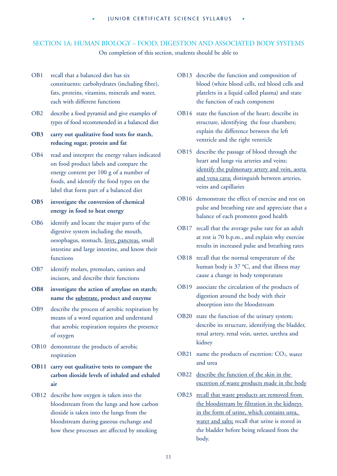#### Section 1A: Human Biology – food, digestion and associated body systems On completion of this section, students should be able to

- OB1 recall that a balanced diet has six constituents: carbohydrates (including fibre), fats, proteins, vitamins, minerals and water, each with different functions
- OB2 describe a food pyramid and give examples of types of food recommended in a balanced diet
- **OB3 carry out qualitative food tests for starch, reducing sugar, protein and fat**
- OB4 read and interpret the energy values indicated on food product labels and compare the energy content per 100 g of a number of foods, and identify the food types on the label that form part of a balanced diet

### **OB5 investigate the conversion of chemical energy in food to heat energy**

- OB6 identify and locate the major parts of the digestive system including the mouth, oesophagus, stomach, liver, pancreas, small intestine and large intestine, and know their functions
- OB7 identify molars, premolars, canines and incisors, and describe their functions
- **OB8 investigate the action of amylase on starch; name the substrate, product and enzyme**
- OB9 describe the process of aerobic respiration by means of a word equation and understand that aerobic respiration requires the presence of oxygen
- OB10 demonstrate the products of aerobic respiration
- **OB11 carry out qualitative tests to compare the carbon dioxide levels of inhaled and exhaled air**
- OB12 describe how oxygen is taken into the bloodstream from the lungs and how carbon dioxide is taken into the lungs from the bloodstream during gaseous exchange and how these processes are affected by smoking
- OB13 describe the function and composition of blood (white blood cells, red blood cells and platelets in a liquid called plasma) and state the function of each component
- OB14 state the function of the heart; describe its structure, identifying the four chambers; explain the difference between the left ventricle and the right ventricle
- OB15 describe the passage of blood through the heart and lungs via arteries and veins; identify the pulmonary artery and vein, aorta and vena cava; distinguish between arteries, veins and capillaries
- OB16 demonstrate the effect of exercise and rest on pulse and breathing rate and appreciate that a balance of each promotes good health
- OB17 recall that the average pulse rate for an adult at rest is 70 b.p.m., and explain why exercise results in increased pulse and breathing rates
- OB18 recall that the normal temperature of the human body is 37 °C, and that illness may cause a change in body temperature
- OB19 associate the circulation of the products of digestion around the body with their absorption into the bloodstream
- OB20 state the function of the urinary system; describe its structure, identifying the bladder, renal artery, renal vein, ureter, urethra and kidney
- OB21 name the products of excretion: CO<sub>2</sub>, water and urea
- OB22 describe the function of the skin in the excretion of waste products made in the body
- OB23 recall that waste products are removed from the bloodstream by filtration in the kidneys in the form of urine, which contains urea, water and salts; recall that urine is stored in the bladder before being released from the body.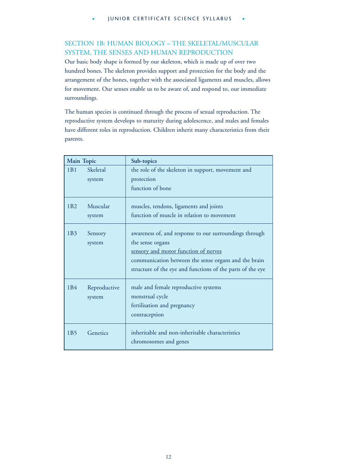## Section 1B: Human Biology – the skeletal/muscular system, the senses and human reproduction

Our basic body shape is formed by our skeleton, which is made up of over two hundred bones. The skeleton provides support and protection for the body and the arrangement of the bones, together with the associated ligaments and muscles, allows for movement. Our senses enable us to be aware of, and respond to, our immediate surroundings.

The human species is continued through the process of sexual reproduction. The reproductive system develops to maturity during adolescence, and males and females have different roles in reproduction. Children inherit many characteristics from their parents.

| <b>Main Topic</b> |                        | Sub-topics                                                                                                                                                                                                                               |
|-------------------|------------------------|------------------------------------------------------------------------------------------------------------------------------------------------------------------------------------------------------------------------------------------|
| 1 <sub>B1</sub>   | Skeletal<br>system     | the role of the skeleton in support, movement and<br>protection<br>function of bone                                                                                                                                                      |
| 1B2               | Muscular<br>system     | muscles, tendons, ligaments and joints<br>function of muscle in relation to movement                                                                                                                                                     |
| 1B3               | Sensory<br>system      | awareness of, and response to our surroundings through<br>the sense organs<br>sensory and motor function of nerves<br>communication between the sense organs and the brain<br>structure of the eye and functions of the parts of the eye |
| 1B4               | Reproductive<br>system | male and female reproductive systems<br>menstrual cycle<br>fertilisation and pregnancy<br>contraception                                                                                                                                  |
| 1B <sub>5</sub>   | Genetics               | inheritable and non-inheritable characteristics<br>chromosomes and genes                                                                                                                                                                 |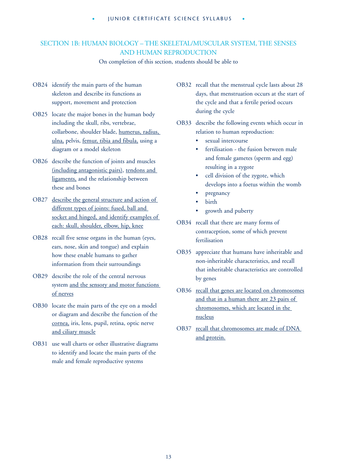### Section 1B: Human Biology – the skeletal/muscular system, the senses and human reproduction

- OB24 identify the main parts of the human skeleton and describe its functions as support, movement and protection
- OB25 locate the major bones in the human body including the skull, ribs, vertebrae, collarbone, shoulder blade, humerus, radius, ulna, pelvis, femur, tibia and fibula, using a diagram or a model skeleton
- OB26 describe the function of joints and muscles (including antagonistic pairs), tendons and ligaments, and the relationship between these and bones
- OB27 describe the general structure and action of different types of joints: fused, ball and socket and hinged, and identify examples of each: skull, shoulder, elbow, hip, knee
- OB28 recall five sense organs in the human (eyes, ears, nose, skin and tongue) and explain how these enable humans to gather information from their surroundings
- OB29 describe the role of the central nervous system and the sensory and motor functions of nerves
- OB30 locate the main parts of the eye on a model or diagram and describe the function of the cornea, iris, lens, pupil, retina, optic nerve and ciliary muscle
- OB31 use wall charts or other illustrative diagrams to identify and locate the main parts of the male and female reproductive systems
- OB32 recall that the menstrual cycle lasts about 28 days, that menstruation occurs at the start of the cycle and that a fertile period occurs during the cycle
- OB33 describe the following events which occur in relation to human reproduction:
	- sexual intercourse
	- fertilisation the fusion between male and female gametes (sperm and egg) resulting in a zygote
	- cell division of the zygote, which develops into a foetus within the womb
	- pregnancy
	- **birth**
	- growth and puberty
- OB34 recall that there are many forms of contraception, some of which prevent fertilisation
- OB35 appreciate that humans have inheritable and non-inheritable characteristics, and recall that inheritable characteristics are controlled by genes
- OB36 recall that genes are located on chromosomes and that in a human there are 23 pairs of chromosomes, which are located in the nucleus
- OB37 recall that chromosomes are made of DNA and protein.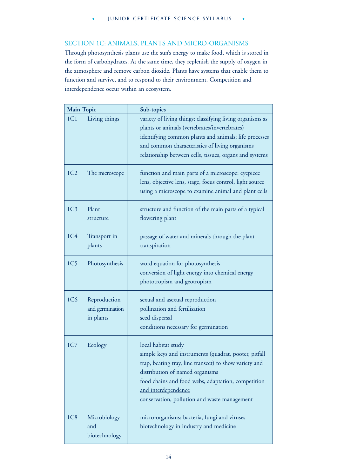#### Section 1C: Animals, plants and micro-organisms

Through photosynthesis plants use the sun's energy to make food, which is stored in the form of carbohydrates. At the same time, they replenish the supply of oxygen in the atmosphere and remove carbon dioxide. Plants have systems that enable them to function and survive, and to respond to their environment. Competition and interdependence occur within an ecosystem.

| <b>Main Topic</b> |                                              | Sub-topics                                                                                                                                                                                                                                                                                             |
|-------------------|----------------------------------------------|--------------------------------------------------------------------------------------------------------------------------------------------------------------------------------------------------------------------------------------------------------------------------------------------------------|
| 1C1               | Living things                                | variety of living things; classifying living organisms as<br>plants or animals (vertebrates/invertebrates)<br>identifying common plants and animals; life processes<br>and common characteristics of living organisms<br>relationship between cells, tissues, organs and systems                       |
| 1C2               | The microscope                               | function and main parts of a microscope: eyepiece<br>lens, objective lens, stage, focus control, light source<br>using a microscope to examine animal and plant cells                                                                                                                                  |
| 1C <sub>3</sub>   | Plant<br>structure                           | structure and function of the main parts of a typical<br>flowering plant                                                                                                                                                                                                                               |
| 1C4               | Transport in<br>plants                       | passage of water and minerals through the plant<br>transpiration                                                                                                                                                                                                                                       |
| 1C <sub>5</sub>   | Photosynthesis                               | word equation for photosynthesis<br>conversion of light energy into chemical energy<br>phototropism and geotropism                                                                                                                                                                                     |
| 1C <sub>6</sub>   | Reproduction<br>and germination<br>in plants | sexual and asexual reproduction<br>pollination and fertilisation<br>seed dispersal<br>conditions necessary for germination                                                                                                                                                                             |
| 1C7               | Ecology                                      | local habitat study<br>simple keys and instruments (quadrat, pooter, pitfall<br>trap, beating tray, line transect) to show variety and<br>distribution of named organisms<br>food chains and food webs, adaptation, competition<br>and interdependence<br>conservation, pollution and waste management |
| 1C8               | Microbiology<br>and<br>biotechnology         | micro-organisms: bacteria, fungi and viruses<br>biotechnology in industry and medicine                                                                                                                                                                                                                 |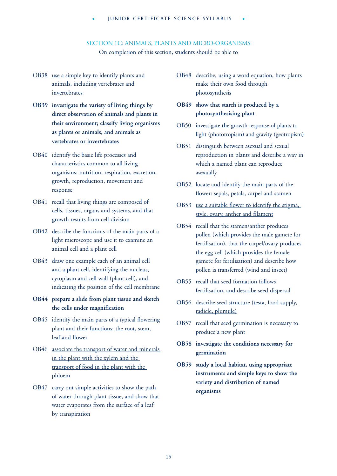#### Section 1C: Animals, plants and micro-organisms

- OB38 use a simple key to identify plants and animals, including vertebrates and invertebrates
- **OB39 investigate the variety of living things by direct observation of animals and plants in their environment; classify living organisms as plants or animals, and animals as vertebrates or invertebrates**
- OB40 identify the basic life processes and characteristics common to all living organisms: nutrition, respiration, excretion, growth, reproduction, movement and response
- OB41 recall that living things are composed of cells, tissues, organs and systems, and that growth results from cell division
- OB42 describe the functions of the main parts of a light microscope and use it to examine an animal cell and a plant cell
- OB43 draw one example each of an animal cell and a plant cell, identifying the nucleus, cytoplasm and cell wall (plant cell), and indicating the position of the cell membrane
- **OB44 prepare a slide from plant tissue and sketch the cells under magnification**
- OB45 identify the main parts of a typical flowering plant and their functions: the root, stem, leaf and flower
- OB46 associate the transport of water and minerals in the plant with the xylem and the transport of food in the plant with the phloem
- OB47 carry out simple activities to show the path of water through plant tissue, and show that water evaporates from the surface of a leaf by transpiration
- OB48 describe, using a word equation, how plants make their own food through photosynthesis
- **OB49 show that starch is produced by a photosynthesising plant**
- OB50 investigate the growth response of plants to light (phototropism) and gravity (geotropism)
- OB51 distinguish between asexual and sexual reproduction in plants and describe a way in which a named plant can reproduce asexually
- OB52 locate and identify the main parts of the flower: sepals, petals, carpel and stamen
- OB53 use a suitable flower to identify the stigma, style, ovary, anther and filament
- OB54 recall that the stamen/anther produces pollen (which provides the male gamete for fertilisation), that the carpel/ovary produces the egg cell (which provides the female gamete for fertilisation) and describe how pollen is transferred (wind and insect)
- OB55 recall that seed formation follows fertilisation, and describe seed dispersal
- OB56 describe seed structure (testa, food supply, radicle, plumule)
- OB57 recall that seed germination is necessary to produce a new plant
- **OB58 investigate the conditions necessary for germination**
- **OB59 study a local habitat, using appropriate instruments and simple keys to show the variety and distribution of named organisms**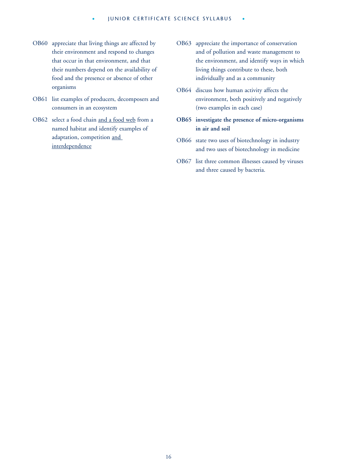- OB60 appreciate that living things are affected by their environment and respond to changes that occur in that environment, and that their numbers depend on the availability of food and the presence or absence of other organisms
- OB61 list examples of producers, decomposers and consumers in an ecosystem
- OB62 select a food chain and a food web from a named habitat and identify examples of adaptation, competition and interdependence
- OB63 appreciate the importance of conservation and of pollution and waste management to the environment, and identify ways in which living things contribute to these, both individually and as a community
- OB64 discuss how human activity affects the environment, both positively and negatively (two examples in each case)
- **OB65 investigate the presence of micro-organisms in air and soil**
- OB66 state two uses of biotechnology in industry and two uses of biotechnology in medicine
- OB67 list three common illnesses caused by viruses and three caused by bacteria.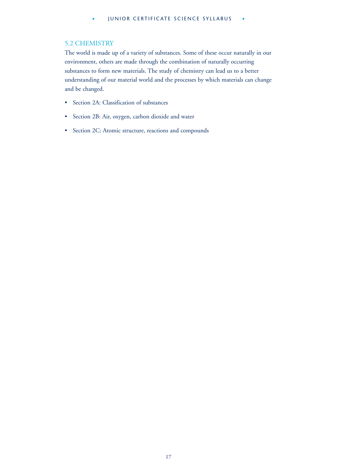#### 5.2 Chemistry

The world is made up of a variety of substances. Some of these occur naturally in our environment, others are made through the combination of naturally occurring substances to form new materials. The study of chemistry can lead us to a better understanding of our material world and the processes by which materials can change and be changed.

- Section 2A: Classification of substances
- • Section 2B: Air, oxygen, carbon dioxide and water
- • Section 2C: Atomic structure, reactions and compounds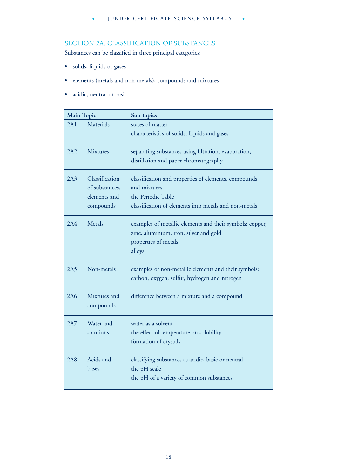## SECTION 2A: CLASSIFICATION OF SUBSTANCES

Substances can be classified in three principal categories:

- • solids, liquids or gases
- • elements (metals and non-metals), compounds and mixtures
- • acidic, neutral or basic.

| <b>Main Topic</b> |                 | Sub-topics                                                                                                                 |
|-------------------|-----------------|----------------------------------------------------------------------------------------------------------------------------|
| 2A1               | Materials       | states of matter                                                                                                           |
|                   |                 | characteristics of solids, liquids and gases                                                                               |
| 2A2               | <b>Mixtures</b> | separating substances using filtration, evaporation,                                                                       |
|                   |                 | distillation and paper chromatography                                                                                      |
| 2A3               | Classification  | classification and properties of elements, compounds                                                                       |
|                   | of substances,  | and mixtures                                                                                                               |
|                   | elements and    | the Periodic Table                                                                                                         |
|                   | compounds       | classification of elements into metals and non-metals                                                                      |
| 2A4               | Metals          | examples of metallic elements and their symbols: copper,<br>zinc, aluminium, iron, silver and gold<br>properties of metals |
|                   |                 | alloys                                                                                                                     |
| 2A5               | Non-metals      | examples of non-metallic elements and their symbols:                                                                       |
|                   |                 | carbon, oxygen, sulfur, hydrogen and nitrogen                                                                              |
| 2A6               | Mixtures and    | difference between a mixture and a compound                                                                                |
|                   | compounds       |                                                                                                                            |
| 2A7               | Water and       | water as a solvent                                                                                                         |
|                   | solutions       | the effect of temperature on solubility                                                                                    |
|                   |                 | formation of crystals                                                                                                      |
| 2A8               | Acids and       | classifying substances as acidic, basic or neutral                                                                         |
|                   | bases           | the pH scale                                                                                                               |
|                   |                 | the pH of a variety of common substances                                                                                   |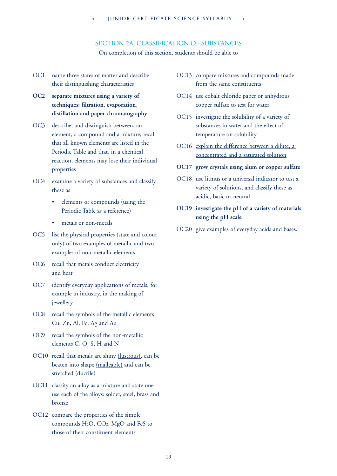#### Section 2A: Classification of substances

- OC1 name three states of matter and describe their distinguishing characteristics
- **OC2 separate mixtures using a variety of techniques: filtration, evaporation, distillation and paper chromatography**
- OC3 describe, and distinguish between, an element, a compound and a mixture; recall that all known elements are listed in the Periodic Table and that, in a chemical reaction, elements may lose their individual properties
- OC4 examine a variety of substances and classify these as
	- elements or compounds (using the Periodic Table as a reference)
	- metals or non-metals
- OC5 list the physical properties (state and colour only) of two examples of metallic and two examples of non-metallic elements
- OC6 recall that metals conduct electricity and heat
- OC7 identify everyday applications of metals, for example in industry, in the making of jewellery
- OC8 recall the symbols of the metallic elements Cu, Zn, Al, Fe, Ag and Au
- OC9 recall the symbols of the non-metallic elements C, O, S, H and N
- OC10 recall that metals are shiny (lustrous), can be beaten into shape (malleable) and can be stretched (ductile)
- OC11 classify an alloy as a mixture and state one use each of the alloys: solder, steel, brass and bronze
- OC12 compare the properties of the simple compounds H2O, CO2, MgO and FeS to those of their constituent elements
- OC13 compare mixtures and compounds made from the same constituents
- OC14 use cobalt chloride paper or anhydrous copper sulfate to test for water
- OC15 investigate the solubility of a variety of substances in water and the effect of temperature on solubility
- OC16 explain the difference between a dilute, a concentrated and a saturated solution
- **OC17 grow crystals using alum or copper sulfate**
- OC18 use litmus or a universal indicator to test a variety of solutions, and classify these as acidic, basic or neutral
- **OC19 investigate the pH of a variety of materials using the pH scale**
- OC20 give examples of everyday acids and bases.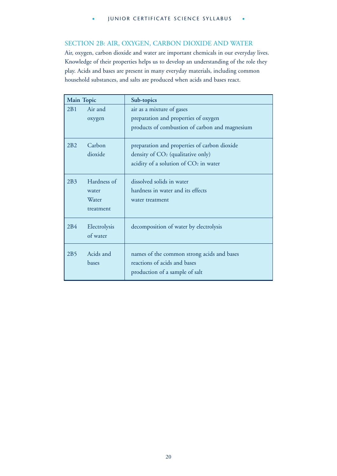#### Section 2B: Air, oxygen, carbon dioxide and water

Air, oxygen, carbon dioxide and water are important chemicals in our everyday lives. Knowledge of their properties helps us to develop an understanding of the role they play. Acids and bases are present in many everyday materials, including common household substances, and salts are produced when acids and bases react.

| <b>Main Topic</b> |                                            | Sub-topics                                                                                                                             |
|-------------------|--------------------------------------------|----------------------------------------------------------------------------------------------------------------------------------------|
| 2B1               | Air and<br>oxygen                          | air as a mixture of gases<br>preparation and properties of oxygen<br>products of combustion of carbon and magnesium                    |
| 2B2               | Carbon<br>dioxide                          | preparation and properties of carbon dioxide<br>density of CO <sub>2</sub> (qualitative only)<br>acidity of a solution of CO2 in water |
| 2B <sub>3</sub>   | Hardness of<br>water<br>Water<br>treatment | dissolved solids in water<br>hardness in water and its effects<br>water treatment                                                      |
| 2B4               | Electrolysis<br>of water                   | decomposition of water by electrolysis                                                                                                 |
| 2B <sub>5</sub>   | Acids and<br>bases                         | names of the common strong acids and bases<br>reactions of acids and bases<br>production of a sample of salt                           |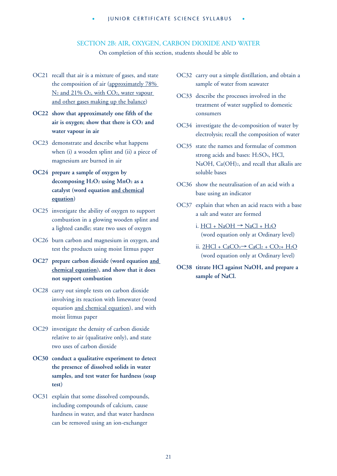#### Section 2B: Air, oxygen, carbon dioxide and water

- OC21 recall that air is a mixture of gases, and state the composition of air (approximately 78% N<sub>2</sub> and 21% O<sub>2</sub>, with CO<sub>2</sub>, water vapour and other gases making up the balance)
- **OC22 show that approximately one fifth of the air is oxygen; show that there is CO2 and water vapour in air**
- OC23 demonstrate and describe what happens when (i) a wooden splint and (ii) a piece of magnesium are burned in air
- **OC24 prepare a sample of oxygen by decomposing H2O2 using MnO2 as a catalyst (word equation and chemical equation)**
- OC25 investigate the ability of oxygen to support combustion in a glowing wooden splint and a lighted candle; state two uses of oxygen
- OC26 burn carbon and magnesium in oxygen, and test the products using moist litmus paper
- **OC27 prepare carbon dioxide (word equation and chemical equation), and show that it does not support combustion**
- OC28 carry out simple tests on carbon dioxide involving its reaction with limewater (word equation and chemical equation), and with moist litmus paper
- OC29 investigate the density of carbon dioxide relative to air (qualitative only), and state two uses of carbon dioxide
- **OC30 conduct a qualitative experiment to detect the presence of dissolved solids in water samples, and test water for hardness (soap test)**
- OC31 explain that some dissolved compounds, including compounds of calcium, cause hardness in water, and that water hardness can be removed using an ion-exchanger
- OC32 carry out a simple distillation, and obtain a sample of water from seawater
- OC33 describe the processes involved in the treatment of water supplied to domestic consumers
- OC34 investigate the de-composition of water by electrolysis; recall the composition of water
- OC35 state the names and formulae of common strong acids and bases: H2SO4, HCl, NaOH, Ca(OH)<sub>2</sub>, and recall that alkalis are soluble bases
- OC36 show the neutralisation of an acid with a base using an indicator
- OC37 explain that when an acid reacts with a base a salt and water are formed
	- i.  $HCl + NaOH \rightarrow NaCl + H<sub>2</sub>O$ (word equation only at Ordinary level)
	- ii.  $2HCl + CaCO<sub>3</sub> \rightarrow CaCl<sub>2</sub> + CO<sub>2</sub> + H<sub>2</sub>O$ (word equation only at Ordinary level)
- **OC38 titrate HCl against NaOH, and prepare a sample of NaCl.**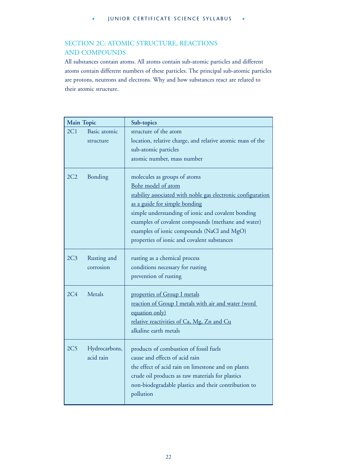## SECTION 2C: ATOMIC STRUCTURE, REACTIONS and compounds

All substances contain atoms. All atoms contain sub-atomic particles and different atoms contain different numbers of these particles. The principal sub-atomic particles are protons, neutrons and electrons. Why and how substances react are related to their atomic structure.

| <b>Main Topic</b> |                            | Sub-topics                                                                                                                                                                                                                                                                                                                                                   |
|-------------------|----------------------------|--------------------------------------------------------------------------------------------------------------------------------------------------------------------------------------------------------------------------------------------------------------------------------------------------------------------------------------------------------------|
| 2C1               | Basic atomic<br>structure  | structure of the atom<br>location, relative charge, and relative atomic mass of the<br>sub-atomic particles<br>atomic number, mass number                                                                                                                                                                                                                    |
| 2C2               | Bonding                    | molecules as groups of atoms<br>Bohr model of atom<br>stability associated with noble gas electronic configuration<br>as a guide for simple bonding<br>simple understanding of ionic and covalent bonding<br>examples of covalent compounds (methane and water)<br>examples of ionic compounds (NaCl and MgO)<br>properties of ionic and covalent substances |
| 2C <sub>3</sub>   | Rusting and<br>corrosion   | rusting as a chemical process<br>conditions necessary for rusting<br>prevention of rusting                                                                                                                                                                                                                                                                   |
| 2C4               | Metals                     | properties of Group I metals<br>reaction of Group I metals with air and water (word<br>equation only)<br>relative reactivities of Ca, Mg, Zn and Cu<br>alkaline earth metals                                                                                                                                                                                 |
| 2C <sub>5</sub>   | Hydrocarbons,<br>acid rain | products of combustion of fossil fuels<br>cause and effects of acid rain<br>the effect of acid rain on limestone and on plants<br>crude oil products as raw materials for plastics<br>non-biodegradable plastics and their contribution to<br>pollution                                                                                                      |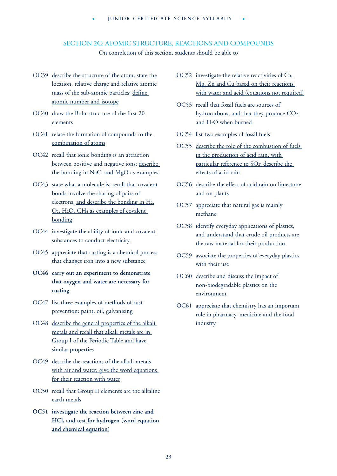#### SECTION 2C: ATOMIC STRUCTURE, REACTIONS AND COMPOUNDS

- OC39 describe the structure of the atom; state the location, relative charge and relative atomic mass of the sub-atomic particles; define atomic number and isotope
- OC40 draw the Bohr structure of the first 20 elements
- OC41 relate the formation of compounds to the combination of atoms
- OC42 recall that ionic bonding is an attraction between positive and negative ions; describe the bonding in NaCl and MgO as examples
- OC43 state what a molecule is; recall that covalent bonds involve the sharing of pairs of electrons, and describe the bonding in H2, O2, H2O, CH4 as examples of covalent bonding
- OC44 investigate the ability of ionic and covalent substances to conduct electricity
- OC45 appreciate that rusting is a chemical process that changes iron into a new substance
- **OC46 carry out an experiment to demonstrate that oxygen and water are necessary for rusting**
- OC47 list three examples of methods of rust prevention: paint, oil, galvanising
- OC48 describe the general properties of the alkali metals and recall that alkali metals are in Group I of the Periodic Table and have similar properties
- OC49 describe the reactions of the alkali metals with air and water; give the word equations for their reaction with water
- OC50 recall that Group II elements are the alkaline earth metals
- **OC51 investigate the reaction between zinc and HCl, and test for hydrogen (word equation and chemical equation)**
- OC52 investigate the relative reactivities of Ca, Mg, Zn and Cu based on their reactions with water and acid (equations not required)
- OC53 recall that fossil fuels are sources of hydrocarbons, and that they produce CO2 and H2O when burned
- OC54 list two examples of fossil fuels
- OC55 describe the role of the combustion of fuels in the production of acid rain, with particular reference to SO<sub>2</sub>; describe the effects of acid rain
- OC56 describe the effect of acid rain on limestone and on plants
- OC57 appreciate that natural gas is mainly methane
- OC58 identify everyday applications of plastics, and understand that crude oil products are the raw material for their production
- OC59 associate the properties of everyday plastics with their use
- OC60 describe and discuss the impact of non-biodegradable plastics on the environment
- OC61 appreciate that chemistry has an important role in pharmacy, medicine and the food industry.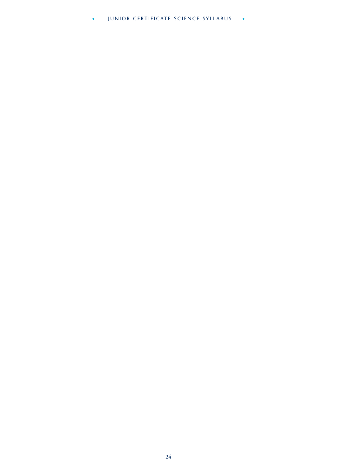#### JUNIOR CERTIFICATE SCIENCE SYLLABUS .  $\bullet$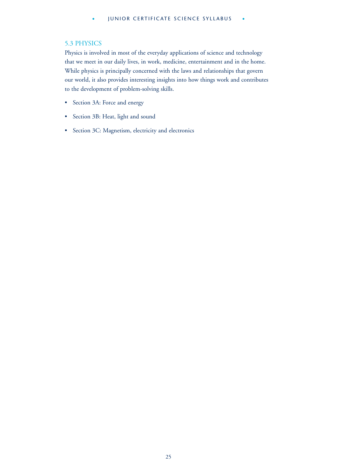#### 5.3 Physics

Physics is involved in most of the everyday applications of science and technology that we meet in our daily lives, in work, medicine, entertainment and in the home. While physics is principally concerned with the laws and relationships that govern our world, it also provides interesting insights into how things work and contributes to the development of problem-solving skills.

- Section 3A: Force and energy
- • Section 3B: Heat, light and sound
- • Section 3C: Magnetism, electricity and electronics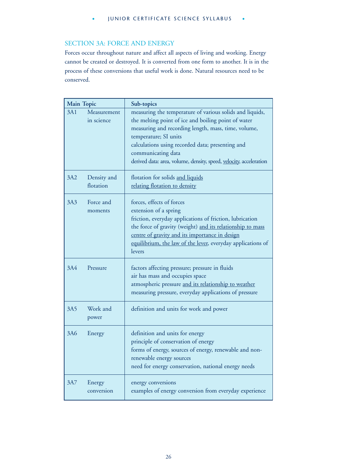#### SECTION 3A: FORCE AND ENERGY

Forces occur throughout nature and affect all aspects of living and working. Energy cannot be created or destroyed. It is converted from one form to another. It is in the process of these conversions that useful work is done. Natural resources need to be conserved.

| <b>Main Topic</b> |                           | Sub-topics                                                                                                                                                                                                                                                                                                                                      |
|-------------------|---------------------------|-------------------------------------------------------------------------------------------------------------------------------------------------------------------------------------------------------------------------------------------------------------------------------------------------------------------------------------------------|
| 3A1               | Measurement<br>in science | measuring the temperature of various solids and liquids,<br>the melting point of ice and boiling point of water<br>measuring and recording length, mass, time, volume,<br>temperature; SI units<br>calculations using recorded data; presenting and<br>communicating data<br>derived data: area, volume, density, speed, velocity, acceleration |
| 3A2               | Density and<br>flotation  | flotation for solids and liquids<br>relating flotation to density                                                                                                                                                                                                                                                                               |
| 3A3               | Force and<br>moments      | forces, effects of forces<br>extension of a spring<br>friction, everyday applications of friction, lubrication<br>the force of gravity (weight) and its relationship to mass<br>centre of gravity and its importance in design<br>equilibrium, the law of the lever, everyday applications of<br>levers                                         |
| 3A4               | Pressure                  | factors affecting pressure; pressure in fluids<br>air has mass and occupies space<br>atmospheric pressure and its relationship to weather<br>measuring pressure, everyday applications of pressure                                                                                                                                              |
| 3A5               | Work and<br>power         | definition and units for work and power                                                                                                                                                                                                                                                                                                         |
| 3A6               | Energy                    | definition and units for energy<br>principle of conservation of energy<br>forms of energy, sources of energy, renewable and non-<br>renewable energy sources<br>need for energy conservation, national energy needs                                                                                                                             |
| 3A7               | Energy<br>conversion      | energy conversions<br>examples of energy conversion from everyday experience                                                                                                                                                                                                                                                                    |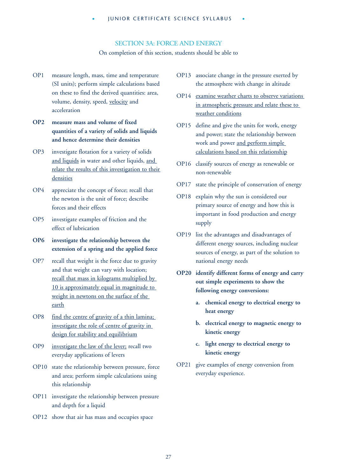#### Section 3A: Force and energy

- OP1 measure length, mass, time and temperature (SI units); perform simple calculations based on these to find the derived quantities: area, volume, density, speed, velocity and acceleration
- **OP2 measure mass and volume of fixed quantities of a variety of solids and liquids and hence determine their densities**
- OP3 investigate flotation for a variety of solids and liquids in water and other liquids, and relate the results of this investigation to their densities
- OP4 appreciate the concept of force; recall that the newton is the unit of force; describe forces and their effects
- OP5 investigate examples of friction and the effect of lubrication
- **OP6 investigate the relationship between the extension of a spring and the applied force**
- OP7 recall that weight is the force due to gravity and that weight can vary with location; recall that mass in kilograms multiplied by 10 is approximately equal in magnitude to weight in newtons on the surface of the earth
- OP8 find the centre of gravity of a thin lamina; investigate the role of centre of gravity in design for stability and equilibrium
- OP9 investigate the law of the lever; recall two everyday applications of levers
- OP10 state the relationship between pressure, force and area; perform simple calculations using this relationship
- OP11 investigate the relationship between pressure and depth for a liquid
- OP12 show that air has mass and occupies space
- OP13 associate change in the pressure exerted by the atmosphere with change in altitude
- OP14 examine weather charts to observe variations in atmospheric pressure and relate these to weather conditions
- OP15 define and give the units for work, energy and power; state the relationship between work and power and perform simple calculations based on this relationship
- OP16 classify sources of energy as renewable or non-renewable
- OP17 state the principle of conservation of energy
- OP18 explain why the sun is considered our primary source of energy and how this is important in food production and energy supply
- OP19 list the advantages and disadvantages of different energy sources, including nuclear sources of energy, as part of the solution to national energy needs
- **OP20 identify different forms of energy and carry out simple experiments to show the following energy conversions:**
	- **a. chemical energy to electrical energy to heat energy**
	- **b. electrical energy to magnetic energy to kinetic energy**
	- **c. light energy to electrical energy to kinetic energy**
- OP21 give examples of energy conversion from everyday experience.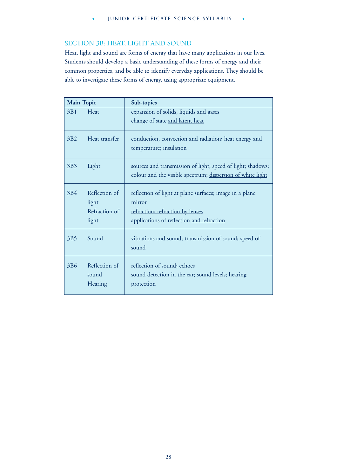#### SECTION 3B: HEAT, LIGHT AND SOUND

Heat, light and sound are forms of energy that have many applications in our lives. Students should develop a basic understanding of these forms of energy and their common properties, and be able to identify everyday applications. They should be able to investigate these forms of energy, using appropriate equipment.

| <b>Main Topic</b> |                                                  | Sub-topics                                                                                                                                         |
|-------------------|--------------------------------------------------|----------------------------------------------------------------------------------------------------------------------------------------------------|
| 3 <sub>B1</sub>   | Heat                                             | expansion of solids, liquids and gases<br>change of state and latent heat                                                                          |
| 3B2               | Heat transfer                                    | conduction, convection and radiation; heat energy and<br>temperature; insulation                                                                   |
| 3B3               | Light                                            | sources and transmission of light; speed of light; shadows;<br>colour and the visible spectrum; dispersion of white light                          |
| 3 <sub>B4</sub>   | Reflection of<br>light<br>Refraction of<br>light | reflection of light at plane surfaces; image in a plane<br>mirror<br>refraction; refraction by lenses<br>applications of reflection and refraction |
| 3 <sub>B5</sub>   | Sound                                            | vibrations and sound; transmission of sound; speed of<br>sound                                                                                     |
| 3 <sub>B6</sub>   | Reflection of<br>sound<br>Hearing                | reflection of sound; echoes<br>sound detection in the ear; sound levels; hearing<br>protection                                                     |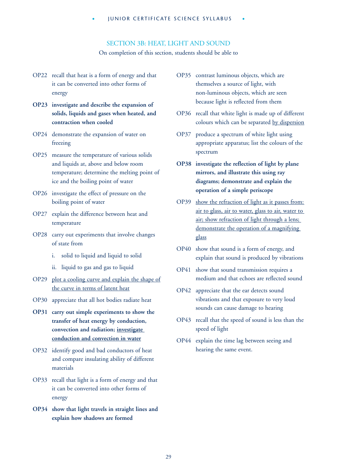#### SECTION 3B: HEAT, LIGHT AND SOUND

- OP22 recall that heat is a form of energy and that it can be converted into other forms of energy
- **OP23 investigate and describe the expansion of solids, liquids and gases when heated, and contraction when cooled**
- OP24 demonstrate the expansion of water on freezing
- OP25 measure the temperature of various solids and liquids at, above and below room temperature; determine the melting point of ice and the boiling point of water
- OP26 investigate the effect of pressure on the boiling point of water
- OP27 explain the difference between heat and temperature
- OP28 carry out experiments that involve changes of state from
	- i. solid to liquid and liquid to solid
	- ii. liquid to gas and gas to liquid
- OP29 plot a cooling curve and explain the shape of the curve in terms of latent heat
- OP30 appreciate that all hot bodies radiate heat
- **OP31 carry out simple experiments to show the transfer of heat energy by conduction, convection and radiation; investigate conduction and convection in water**
- OP32 identify good and bad conductors of heat and compare insulating ability of different materials
- OP33 recall that light is a form of energy and that it can be converted into other forms of energy
- **OP34 show that light travels in straight lines and explain how shadows are formed**
- OP35 contrast luminous objects, which are themselves a source of light, with non-luminous objects, which are seen because light is reflected from them
- OP36 recall that white light is made up of different colours which can be separated by dispersion
- OP37 produce a spectrum of white light using appropriate apparatus; list the colours of the spectrum
- **OP38 investigate the reflection of light by plane mirrors, and illustrate this using ray diagrams; demonstrate and explain the operation of a simple periscope**
- OP39 show the refraction of light as it passes from: air to glass, air to water, glass to air, water to air; show refraction of light through a lens; demonstrate the operation of a magnifying glass
- OP40 show that sound is a form of energy, and explain that sound is produced by vibrations
- OP41 show that sound transmission requires a medium and that echoes are reflected sound
- OP42 appreciate that the ear detects sound vibrations and that exposure to very loud sounds can cause damage to hearing
- OP43 recall that the speed of sound is less than the speed of light
- OP44 explain the time lag between seeing and hearing the same event.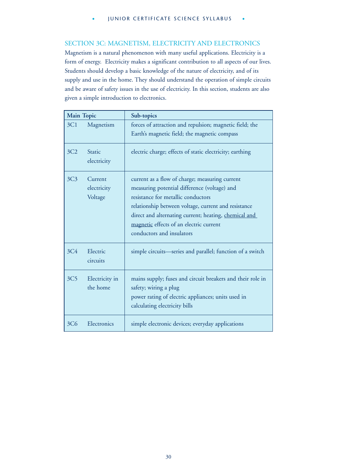#### SECTION 3C: MAGNETISM, ELECTRICITY AND ELECTRONICS

Magnetism is a natural phenomenon with many useful applications. Electricity is a form of energy. Electricity makes a significant contribution to all aspects of our lives. Students should develop a basic knowledge of the nature of electricity, and of its supply and use in the home. They should understand the operation of simple circuits and be aware of safety issues in the use of electricity. In this section, students are also given a simple introduction to electronics.

| <b>Main Topic</b> |                                   | Sub-topics                                                                                                                                                                                                                                                                                                                    |
|-------------------|-----------------------------------|-------------------------------------------------------------------------------------------------------------------------------------------------------------------------------------------------------------------------------------------------------------------------------------------------------------------------------|
| 3C1               | Magnetism                         | forces of attraction and repulsion; magnetic field; the<br>Earth's magnetic field; the magnetic compass                                                                                                                                                                                                                       |
| 3C2               | Static<br>electricity             | electric charge; effects of static electricity; earthing                                                                                                                                                                                                                                                                      |
| 3C <sub>3</sub>   | Current<br>electricity<br>Voltage | current as a flow of charge; measuring current<br>measuring potential difference (voltage) and<br>resistance for metallic conductors<br>relationship between voltage, current and resistance<br>direct and alternating current; heating, chemical and<br>magnetic effects of an electric current<br>conductors and insulators |
| 3C4               | Electric<br>circuits              | simple circuits-series and parallel; function of a switch                                                                                                                                                                                                                                                                     |
| 3C <sub>5</sub>   | Electricity in<br>the home        | mains supply; fuses and circuit breakers and their role in<br>safety; wiring a plug<br>power rating of electric appliances; units used in<br>calculating electricity bills                                                                                                                                                    |
| 3C <sub>6</sub>   | Electronics                       | simple electronic devices; everyday applications                                                                                                                                                                                                                                                                              |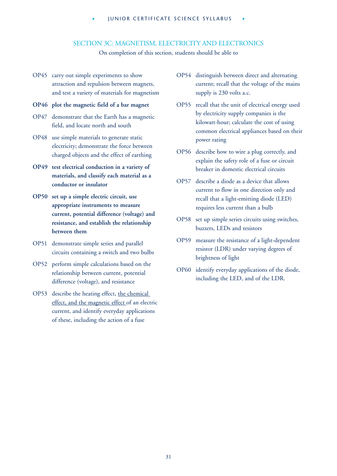#### SECTION 3C: MAGNETISM, ELECTRICITY AND ELECTRONICS

- OP45 carry out simple experiments to show attraction and repulsion between magnets, and test a variety of materials for magnetism
- **OP46 plot the magnetic field of a bar magnet**
- OP47 demonstrate that the Earth has a magnetic field, and locate north and south
- OP48 use simple materials to generate static electricity; demonstrate the force between charged objects and the effect of earthing
- **OP49 test electrical conduction in a variety of materials, and classify each material as a conductor or insulator**
- **OP50 set up a simple electric circuit, use appropriate instruments to measure current, potential difference (voltage) and resistance, and establish the relationship between them**
- OP51 demonstrate simple series and parallel circuits containing a switch and two bulbs
- OP52 perform simple calculations based on the relationship between current, potential difference (voltage), and resistance
- OP53 describe the heating effect, the chemical effect, and the magnetic effect of an electric current, and identify everyday applications of these, including the action of a fuse
- OP54 distinguish between direct and alternating current; recall that the voltage of the mains supply is 230 volts a.c.
- OP55 recall that the unit of electrical energy used by electricity supply companies is the kilowatt-hour; calculate the cost of using common electrical appliances based on their power rating
- OP56 describe how to wire a plug correctly, and explain the safety role of a fuse or circuit breaker in domestic electrical circuits
- OP57 describe a diode as a device that allows current to flow in one direction only and recall that a light-emitting diode (LED) requires less current than a bulb
- OP58 set up simple series circuits using switches, buzzers, LEDs and resistors
- OP59 measure the resistance of a light-dependent resistor (LDR) under varying degrees of brightness of light
- OP60 identify everyday applications of the diode, including the LED, and of the LDR.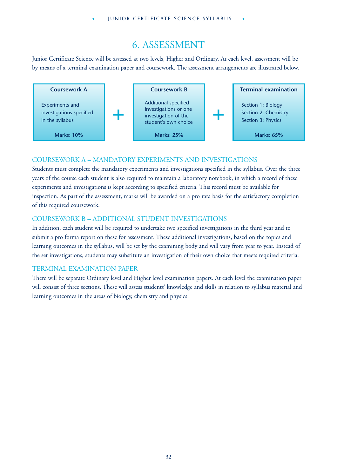## 6. Assessment

Junior Certificate Science will be assessed at two levels, Higher and Ordinary. At each level, assessment will be by means of a terminal examination paper and coursework. The assessment arrangements are illustrated below.



#### Coursework A – Mandatory Experiments and Investigations

Students must complete the mandatory experiments and investigations specified in the syllabus. Over the three years of the course each student is also required to maintain a laboratory notebook, in which a record of these experiments and investigations is kept according to specified criteria. This record must be available for inspection. As part of the assessment, marks will be awarded on a pro rata basis for the satisfactory completion of this required coursework.

#### Coursework B – Additional student investigations

In addition, each student will be required to undertake two specified investigations in the third year and to submit a pro forma report on these for assessment. These additional investigations, based on the topics and learning outcomes in the syllabus, will be set by the examining body and will vary from year to year. Instead of the set investigations, students may substitute an investigation of their own choice that meets required criteria.

#### Terminal examination paper

There will be separate Ordinary level and Higher level examination papers. At each level the examination paper will consist of three sections. These will assess students' knowledge and skills in relation to syllabus material and learning outcomes in the areas of biology, chemistry and physics.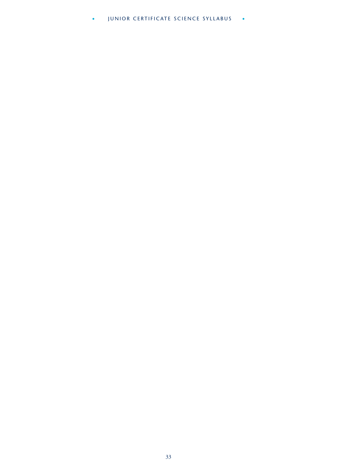#### JUNIOR CERTIFICATE SCIENCE SYLLABUS .  $\bullet$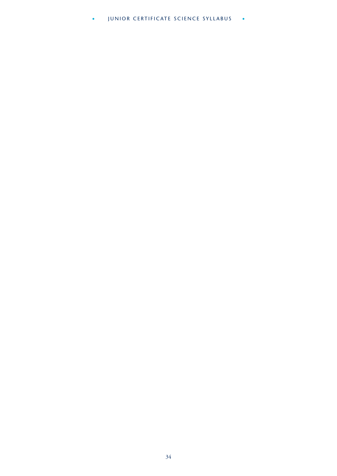#### JUNIOR CERTIFICATE SCIENCE SYLLABUS .  $\bullet$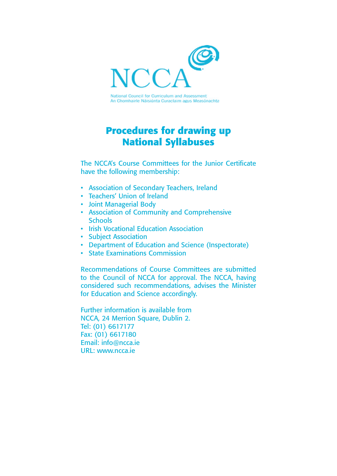

## **Procedures for drawing up National Syllabuses**

The NCCA's Course Committees for the Junior Certificate have the following membership:

- • Association of Secondary Teachers, Ireland
- • Teachers' Union of Ireland
- • Joint Managerial Body
- • Association of Community and Comprehensive **Schools**
- • Irish Vocational Education Association
- • Subject Association
- • Department of Education and Science (Inspectorate)
- • State Examinations Commission

Recommendations of Course Committees are submitted to the Council of NCCA for approval. The NCCA, having considered such recommendations, advises the Minister for Education and Science accordingly.

Further information is available from NCCA, 24 Merrion Square, Dublin 2. Tel: (01) 6617177 Fax: (01) 6617180 Email: info@ncca.ie URL: www.ncca.ie